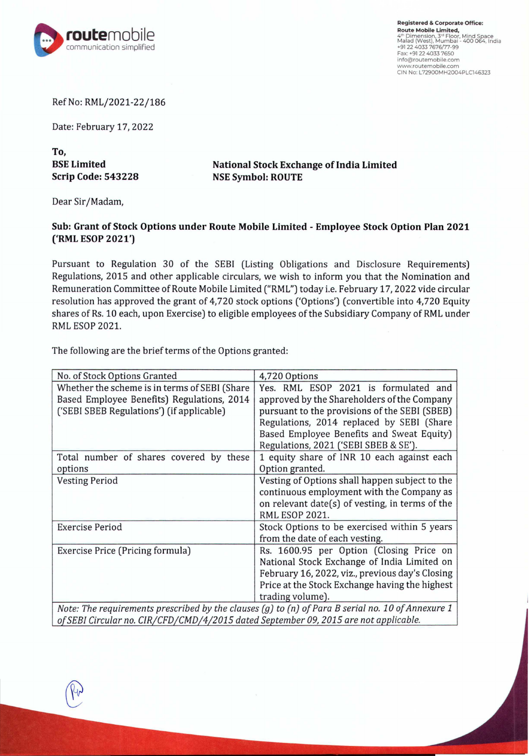

**Registered** & **Corporate Office: Route Mobile Limited,**  4ª Dimension, 3ª Floor, Mind Space<br>Malad (West), Mumbai - 400 064, India<br>+91 22 4033 7676/77-99 Fax: +91 22 4033 7650 info@routemobile.com **www.routemobile.com**  CIN No: L72900MH2004PLC146323

Ref No: RML/2021-22/186

Date: February 17, 2022

**To, BSE Limited Scrip Code: 543228** 

**National Stock Exchange of India Limited NSE Symbol: ROUTE** 

Dear Sir/Madam,

## **Sub: Grant of Stock Options under Route Mobile Limited - Employee Stock Option Plan 2021 ('RML ESOP 2021')**

Pursuant to Regulation 30 of the SEBI (Listing Obligations and Disclosure Requirements) Regulations, 2015 and other applicable circulars, we wish to inform you that the Nomination and Remuneration Committee of Route Mobile Limited ("RML") today i.e. February 17, 2022 vide circular resolution has approved the grant of 4,720 stock options ('Options') (convertible into 4,720 Equity shares of Rs. 10 each, upon Exercise) to eligible employees of the Subsidiary Company of RML under RML ESOP 2021.

The following are the brief terms of the Options granted:

| No. of Stock Options Granted                                                                      | 4,720 Options                                   |
|---------------------------------------------------------------------------------------------------|-------------------------------------------------|
| Whether the scheme is in terms of SEBI (Share                                                     | Yes. RML ESOP 2021 is formulated and            |
| Based Employee Benefits) Regulations, 2014                                                        | approved by the Shareholders of the Company     |
| ('SEBI SBEB Regulations') (if applicable)                                                         | pursuant to the provisions of the SEBI (SBEB)   |
|                                                                                                   | Regulations, 2014 replaced by SEBI (Share       |
|                                                                                                   | Based Employee Benefits and Sweat Equity)       |
|                                                                                                   | Regulations, 2021 ('SEBI SBEB & SE').           |
| Total number of shares covered by these                                                           | 1 equity share of INR 10 each against each      |
| options                                                                                           | Option granted.                                 |
| <b>Vesting Period</b>                                                                             | Vesting of Options shall happen subject to the  |
|                                                                                                   | continuous employment with the Company as       |
|                                                                                                   | on relevant date(s) of vesting, in terms of the |
|                                                                                                   | <b>RML ESOP 2021.</b>                           |
| Exercise Period                                                                                   | Stock Options to be exercised within 5 years    |
|                                                                                                   | from the date of each vesting.                  |
| Exercise Price (Pricing formula)                                                                  | Rs. 1600.95 per Option (Closing Price on        |
|                                                                                                   | National Stock Exchange of India Limited on     |
|                                                                                                   | February 16, 2022, viz., previous day's Closing |
|                                                                                                   | Price at the Stock Exchange having the highest  |
|                                                                                                   | trading volume).                                |
| Note: The requirements prescribed by the clauses (a) to (p) of Dara B serial no. 10 of Annexure 1 |                                                 |

*Note: The requirements prescribed by the clauses (g) to (n) of Para B serial no. 10 of Annexure 1 of SEBI Circular no. CIR/CFD/CMD/4/2015 dated September 09, 2015 are not applicable.*